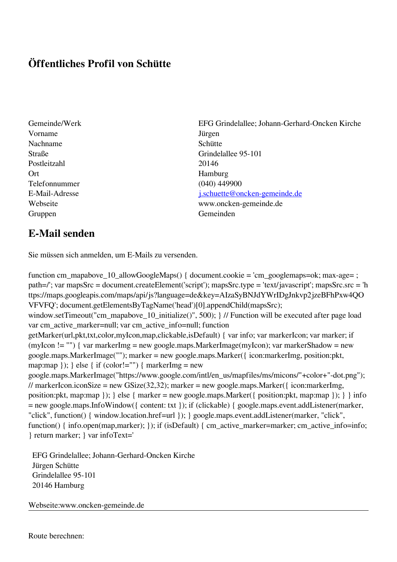## **Öffentliches Profil von Schütte**

- Vorname Jürgen Nachname Schütte Postleitzahl 20146 Ort Hamburg Telefonnummer (040) 449900 Gruppen Gemeinden Gemeinden Gemeinden Gemeinden Gemeinden Gemeinden Gemeinden Gemeinden Gemeinden Gemeinden G
- Gemeinde/Werk EFG Grindelallee; Johann-Gerhard-Oncken Kirche Straße Grindelallee 95-101 E-Mail-Adresse [j.schuette@oncken-gemeinde.de](mailto:j.schuette@oncken-gemeinde.de) Webseite www.oncken-gemeinde.de

## **E-Mail senden**

Sie müssen sich anmelden, um E-Mails zu versenden.

function cm\_mapabove\_10\_allowGoogleMaps() { document.cookie = 'cm\_googlemaps=ok; max-age= ; path=/'; var mapsSrc = document.createElement('script'); mapsSrc.type = 'text/javascript'; mapsSrc.src = 'h ttps://maps.googleapis.com/maps/api/js?language=de&key=AIzaSyBNJdYWrIDgJnkvp2jzeBFhPxw4QO VFVFQ'; document.getElementsByTagName('head')[0].appendChild(mapsSrc); window.setTimeout("cm\_mapabove\_10\_initialize()", 500); } // Function will be executed after page load var cm\_active\_marker=null; var cm\_active\_info=null; function getMarker(url,pkt,txt,color,myIcon,map,clickable,isDefault) { var info; var markerIcon; var marker; if (myIcon != "") { var markerImg = new google.maps.MarkerImage(myIcon); var markerShadow = new google.maps.MarkerImage(""); marker = new google.maps.Marker({ icon:markerImg, position:pkt, map:map  $\}$ ;  $\}$  else  $\{$  if (color!="")  $\{$  markerImg = new google.maps.MarkerImage("https://www.google.com/intl/en\_us/mapfiles/ms/micons/"+color+"-dot.png"); // markerIcon.iconSize = new GSize(32,32); marker = new google.maps.Marker({ $i$ con:markerImg, position:pkt, map:map }); } else { marker = new google.maps.Marker({ position:pkt, map:map }); } } info = new google.maps.InfoWindow({ content: txt }); if (clickable) { google.maps.event.addListener(marker, "click", function() { window.location.href=url }); } google.maps.event.addListener(marker, "click", function() { info.open(map,marker); }); if (isDefault) { cm\_active\_marker=marker; cm\_active\_info=info; } return marker; } var infoText='

 EFG Grindelallee; Johann-Gerhard-Oncken Kirche Jürgen Schütte Grindelallee 95-101 20146 Hamburg

Webseite:www.oncken-gemeinde.de